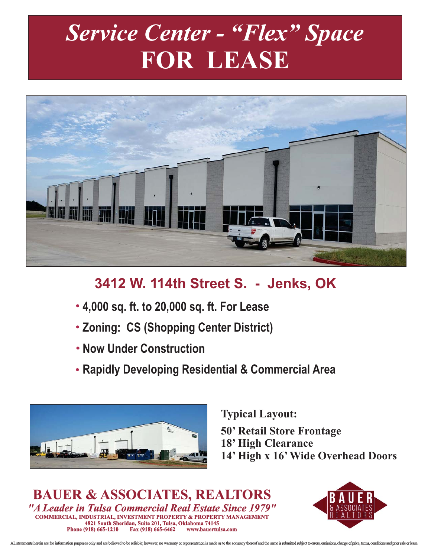# *Service Center - "Flex" Space* **FOR LEASE**



## **3412 W. 114th Street S. - Jenks, OK**

- **4,000 sq. ft. to 20,000 sq. ft. For Lease**
- **Zoning: CS (Shopping Center District)**
- **Now Under Construction**
- **Rapidly Developing Residential & Commercial Area**



**Typical Layout:**

**50' Retail Store Frontage**

- **18' High Clearance**
- **14' High x 16' Wide Overhead Doors**

*"A Leader in Tulsa Commercial Real Estate Since 1979"* **Phone (918) 665-1210 Fax (918) 665-6462 4821 South Sheridan, Suite 201, Tulsa, Oklahoma 74145 BAUER & ASSOCIATES, REALTORS COMMERCIAL, INDUSTRIAL, INVESTMENT PROPERTY & PROPERTY MANAGEMENT**